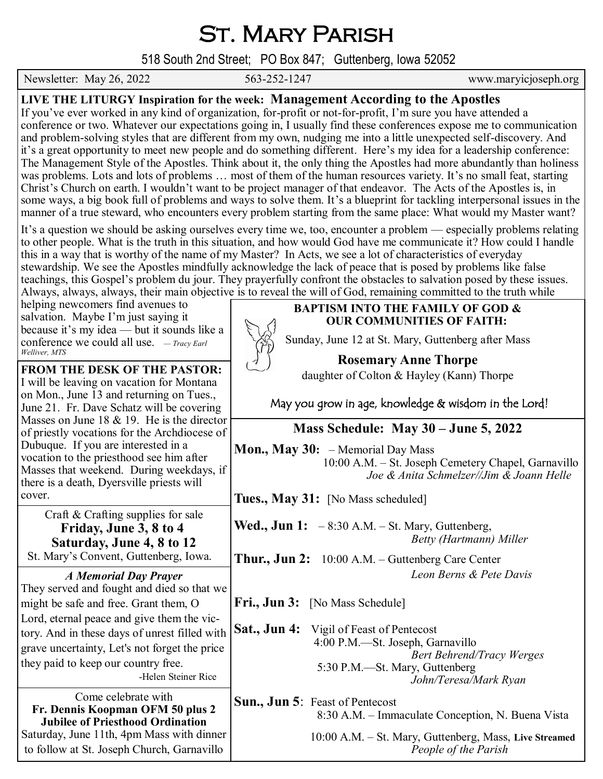## ST. MARY PARISH

518 South 2nd Street; PO Box 847; Guttenberg, Iowa 52052

Newsletter: May 26, 2022 563-252-1247 www.maryicjoseph.org

| LIVE THE LITURGY Inspiration for the week: Management According to the Apostles<br>If you've ever worked in any kind of organization, for-profit or not-for-profit, I'm sure you have attended a<br>conference or two. Whatever our expectations going in, I usually find these conferences expose me to communication<br>and problem-solving styles that are different from my own, nudging me into a little unexpected self-discovery. And<br>it's a great opportunity to meet new people and do something different. Here's my idea for a leadership conference:<br>The Management Style of the Apostles. Think about it, the only thing the Apostles had more abundantly than holiness<br>was problems. Lots and lots of problems  most of them of the human resources variety. It's no small feat, starting<br>Christ's Church on earth. I wouldn't want to be project manager of that endeavor. The Acts of the Apostles is, in<br>some ways, a big book full of problems and ways to solve them. It's a blueprint for tackling interpersonal issues in the<br>manner of a true steward, who encounters every problem starting from the same place: What would my Master want?<br>It's a question we should be asking ourselves every time we, too, encounter a problem — especially problems relating<br>to other people. What is the truth in this situation, and how would God have me communicate it? How could I handle<br>this in a way that is worthy of the name of my Master? In Acts, we see a lot of characteristics of everyday<br>stewardship. We see the Apostles mindfully acknowledge the lack of peace that is posed by problems like false<br>teachings, this Gospel's problem du jour. They prayerfully confront the obstacles to salvation posed by these issues. |                                                                                                                                                                                                      |  |
|---------------------------------------------------------------------------------------------------------------------------------------------------------------------------------------------------------------------------------------------------------------------------------------------------------------------------------------------------------------------------------------------------------------------------------------------------------------------------------------------------------------------------------------------------------------------------------------------------------------------------------------------------------------------------------------------------------------------------------------------------------------------------------------------------------------------------------------------------------------------------------------------------------------------------------------------------------------------------------------------------------------------------------------------------------------------------------------------------------------------------------------------------------------------------------------------------------------------------------------------------------------------------------------------------------------------------------------------------------------------------------------------------------------------------------------------------------------------------------------------------------------------------------------------------------------------------------------------------------------------------------------------------------------------------------------------------------------------------------------------------------------------------------------------|------------------------------------------------------------------------------------------------------------------------------------------------------------------------------------------------------|--|
| helping newcomers find avenues to<br>salvation. Maybe I'm just saying it                                                                                                                                                                                                                                                                                                                                                                                                                                                                                                                                                                                                                                                                                                                                                                                                                                                                                                                                                                                                                                                                                                                                                                                                                                                                                                                                                                                                                                                                                                                                                                                                                                                                                                                    | Always, always, always, their main objective is to reveal the will of God, remaining committed to the truth while<br><b>BAPTISM INTO THE FAMILY OF GOD &amp;</b><br><b>OUR COMMUNITIES OF FAITH:</b> |  |
| because it's my idea — but it sounds like a<br>conference we could all use. $-$ Tracy Earl<br>Welliver, MTS                                                                                                                                                                                                                                                                                                                                                                                                                                                                                                                                                                                                                                                                                                                                                                                                                                                                                                                                                                                                                                                                                                                                                                                                                                                                                                                                                                                                                                                                                                                                                                                                                                                                                 | Sunday, June 12 at St. Mary, Guttenberg after Mass                                                                                                                                                   |  |
| FROM THE DESK OF THE PASTOR:                                                                                                                                                                                                                                                                                                                                                                                                                                                                                                                                                                                                                                                                                                                                                                                                                                                                                                                                                                                                                                                                                                                                                                                                                                                                                                                                                                                                                                                                                                                                                                                                                                                                                                                                                                | <b>Rosemary Anne Thorpe</b><br>daughter of Colton & Hayley (Kann) Thorpe                                                                                                                             |  |
| I will be leaving on vacation for Montana<br>on Mon., June 13 and returning on Tues.,<br>June 21. Fr. Dave Schatz will be covering                                                                                                                                                                                                                                                                                                                                                                                                                                                                                                                                                                                                                                                                                                                                                                                                                                                                                                                                                                                                                                                                                                                                                                                                                                                                                                                                                                                                                                                                                                                                                                                                                                                          | May you grow in age, knowledge & wisdom in the Lord!                                                                                                                                                 |  |
| Masses on June 18 $&$ 19. He is the director<br>of priestly vocations for the Archdiocese of                                                                                                                                                                                                                                                                                                                                                                                                                                                                                                                                                                                                                                                                                                                                                                                                                                                                                                                                                                                                                                                                                                                                                                                                                                                                                                                                                                                                                                                                                                                                                                                                                                                                                                | Mass Schedule: May 30 – June 5, 2022                                                                                                                                                                 |  |
| Dubuque. If you are interested in a<br>vocation to the priesthood see him after<br>Masses that weekend. During weekdays, if<br>there is a death, Dyersville priests will                                                                                                                                                                                                                                                                                                                                                                                                                                                                                                                                                                                                                                                                                                                                                                                                                                                                                                                                                                                                                                                                                                                                                                                                                                                                                                                                                                                                                                                                                                                                                                                                                    | <b>Mon., May 30:</b> $-$ Memorial Day Mass<br>10:00 A.M. - St. Joseph Cemetery Chapel, Garnavillo<br>Joe & Anita Schmelzer//Jim & Joann Helle                                                        |  |
| cover.                                                                                                                                                                                                                                                                                                                                                                                                                                                                                                                                                                                                                                                                                                                                                                                                                                                                                                                                                                                                                                                                                                                                                                                                                                                                                                                                                                                                                                                                                                                                                                                                                                                                                                                                                                                      | Tues., May 31: [No Mass scheduled]                                                                                                                                                                   |  |
| Craft & Crafting supplies for sale<br>Friday, June 3, 8 to 4<br>Saturday, June 4, 8 to 12                                                                                                                                                                                                                                                                                                                                                                                                                                                                                                                                                                                                                                                                                                                                                                                                                                                                                                                                                                                                                                                                                                                                                                                                                                                                                                                                                                                                                                                                                                                                                                                                                                                                                                   | <b>Wed., Jun 1:</b> $-8:30$ A.M. $-$ St. Mary, Guttenberg,<br>Betty (Hartmann) Miller                                                                                                                |  |
| St. Mary's Convent, Guttenberg, Iowa.                                                                                                                                                                                                                                                                                                                                                                                                                                                                                                                                                                                                                                                                                                                                                                                                                                                                                                                                                                                                                                                                                                                                                                                                                                                                                                                                                                                                                                                                                                                                                                                                                                                                                                                                                       | <b>Thur., Jun 2:</b> $10:00$ A.M. – Guttenberg Care Center                                                                                                                                           |  |
| <b>A Memorial Day Prayer</b>                                                                                                                                                                                                                                                                                                                                                                                                                                                                                                                                                                                                                                                                                                                                                                                                                                                                                                                                                                                                                                                                                                                                                                                                                                                                                                                                                                                                                                                                                                                                                                                                                                                                                                                                                                | Leon Berns & Pete Davis                                                                                                                                                                              |  |
| They served and fought and died so that we<br>might be safe and free. Grant them, O                                                                                                                                                                                                                                                                                                                                                                                                                                                                                                                                                                                                                                                                                                                                                                                                                                                                                                                                                                                                                                                                                                                                                                                                                                                                                                                                                                                                                                                                                                                                                                                                                                                                                                         | <b>Fri., Jun 3:</b> [No Mass Schedule]                                                                                                                                                               |  |
| Lord, eternal peace and give them the vic-                                                                                                                                                                                                                                                                                                                                                                                                                                                                                                                                                                                                                                                                                                                                                                                                                                                                                                                                                                                                                                                                                                                                                                                                                                                                                                                                                                                                                                                                                                                                                                                                                                                                                                                                                  |                                                                                                                                                                                                      |  |
| tory. And in these days of unrest filled with<br>grave uncertainty, Let's not forget the price<br>they paid to keep our country free.<br>-Helen Steiner Rice                                                                                                                                                                                                                                                                                                                                                                                                                                                                                                                                                                                                                                                                                                                                                                                                                                                                                                                                                                                                                                                                                                                                                                                                                                                                                                                                                                                                                                                                                                                                                                                                                                | <b>Sat., Jun 4:</b> Vigil of Feast of Pentecost<br>4:00 P.M.-St. Joseph, Garnavillo<br><b>Bert Behrend/Tracy Werges</b><br>5:30 P.M.—St. Mary, Guttenberg<br>John/Teresa/Mark Ryan                   |  |
| Come celebrate with<br>Fr. Dennis Koopman OFM 50 plus 2                                                                                                                                                                                                                                                                                                                                                                                                                                                                                                                                                                                                                                                                                                                                                                                                                                                                                                                                                                                                                                                                                                                                                                                                                                                                                                                                                                                                                                                                                                                                                                                                                                                                                                                                     | Sun., Jun 5: Feast of Pentecost                                                                                                                                                                      |  |
| <b>Jubilee of Priesthood Ordination</b><br>Saturday, June 11th, 4pm Mass with dinner<br>to follow at St. Joseph Church, Garnavillo                                                                                                                                                                                                                                                                                                                                                                                                                                                                                                                                                                                                                                                                                                                                                                                                                                                                                                                                                                                                                                                                                                                                                                                                                                                                                                                                                                                                                                                                                                                                                                                                                                                          | 8:30 A.M. – Immaculate Conception, N. Buena Vista<br>10:00 A.M. - St. Mary, Guttenberg, Mass, Live Streamed<br>People of the Parish                                                                  |  |
|                                                                                                                                                                                                                                                                                                                                                                                                                                                                                                                                                                                                                                                                                                                                                                                                                                                                                                                                                                                                                                                                                                                                                                                                                                                                                                                                                                                                                                                                                                                                                                                                                                                                                                                                                                                             |                                                                                                                                                                                                      |  |